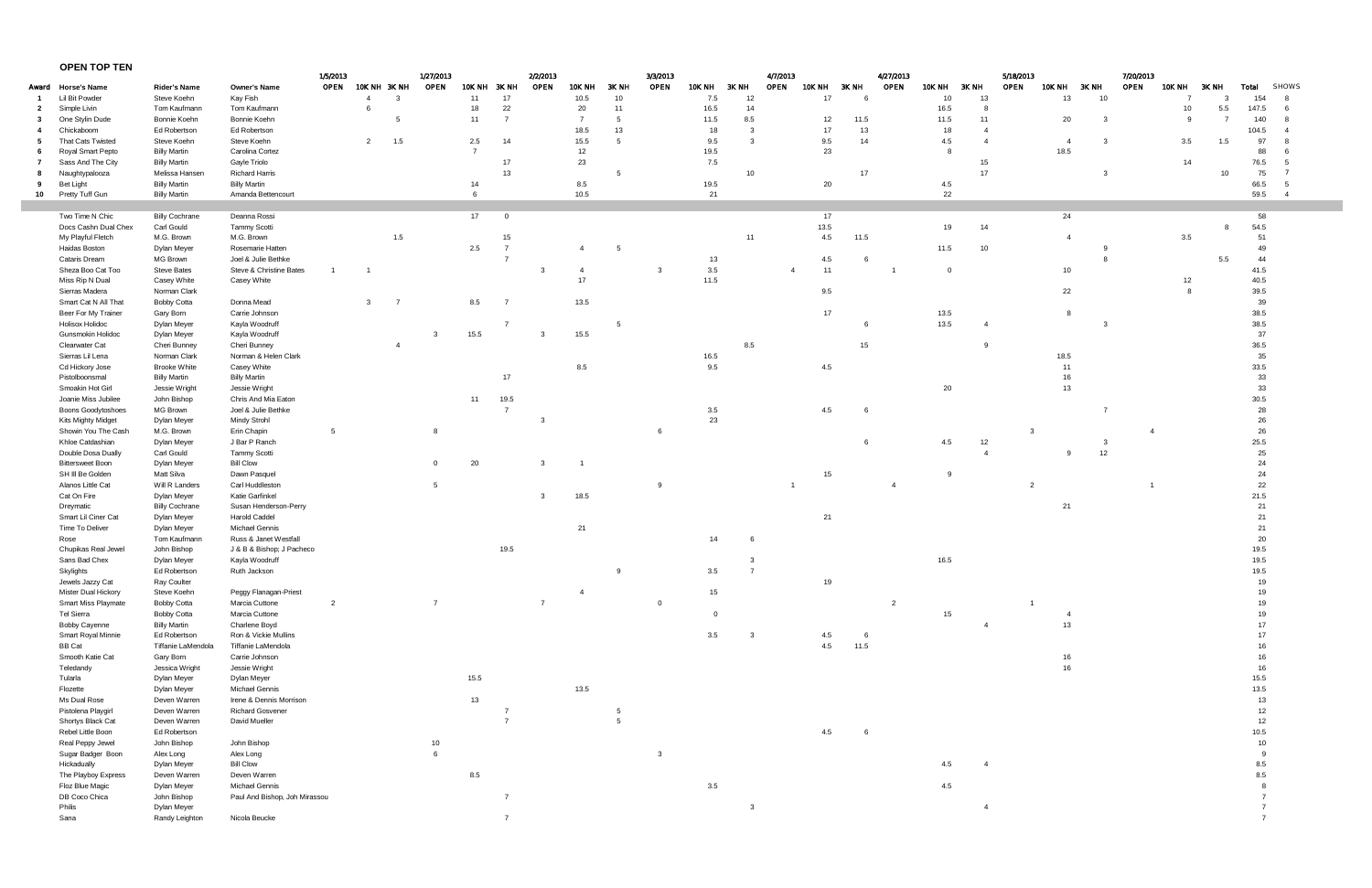## **OPEN TOP TEN**

| Award Horse's Name<br>Lil Bit Powder<br>Simple Livin<br>$\mathbf{2}$ | <b>Rider's Name</b>         | <b>Owner's Name</b>                           | 1/5/2013<br>OPEN | 10K NH 3K NH   |                | 1/27/2013<br>OPEN | <b>10K NH</b>  | 3K NH          | 2/2/2013<br><b>OPEN</b> | <b>10K NH</b>  | 3K NH           | OPEN           | <b>10K NH</b> | 3K NH          | 4/7/2013<br>OPEN | <b>10K NH</b> | 3K NH | 4/27/2013<br>OPEN | <b>10K NH</b> | 3K NH          | OPEN                    | <b>10K NH</b>   | 3K NH | 7/20/2013<br>OPEN | <b>10K NH</b> | 3K NH          |                |                |
|----------------------------------------------------------------------|-----------------------------|-----------------------------------------------|------------------|----------------|----------------|-------------------|----------------|----------------|-------------------------|----------------|-----------------|----------------|---------------|----------------|------------------|---------------|-------|-------------------|---------------|----------------|-------------------------|-----------------|-------|-------------------|---------------|----------------|----------------|----------------|
|                                                                      |                             |                                               |                  |                |                |                   |                |                |                         |                |                 |                |               |                |                  |               |       |                   |               |                |                         |                 |       |                   |               |                | Total          | SHOWS          |
|                                                                      | Steve Koehn                 | Kay Fish                                      |                  | $\overline{4}$ | -3             |                   | 11             | 17             |                         | 10.5           | 10              |                | 7.5           | 12             |                  | 17            | - 6   |                   | 10            | 13             |                         | 13              | 10    |                   |               |                | 154            |                |
|                                                                      | Tom Kaufmann                | Tom Kaufmann                                  |                  | 6              |                |                   | 18             | 22             |                         | 20             | 11              |                | 16.5          | 14             |                  |               |       |                   | 16.5          | -8             |                         |                 |       |                   | 10            | 5.5            | 147.5          | 6              |
| One Stylin Dude                                                      | Bonnie Koehn                | Bonnie Koehn                                  |                  |                |                |                   | 11             | $\overline{7}$ |                         | $\overline{7}$ | 5               |                | 11.5          | 8.5            |                  | 12            | 11.5  |                   | 11.5          | 11             |                         | 20              | - 3   |                   | 9             | $\overline{7}$ | 140            |                |
| Chickaboom                                                           | Ed Robertson                | Ed Robertson                                  |                  |                |                |                   |                |                |                         | 18.5           | 13              |                | 18            | $\mathbf{3}$   |                  | 17            | 13    |                   | 18            | $\overline{4}$ |                         |                 |       |                   |               |                | 104.5          | - 4            |
| That Cats Twisted<br>- 5                                             | Steve Koehn                 | Steve Koehn                                   |                  | $\overline{2}$ | 1.5            |                   | 2.5            | 14             |                         | 15.5           | $5\overline{5}$ |                | 9.5           | $\mathbf{3}$   |                  | 9.5           | 14    |                   | 4.5           | $\overline{4}$ |                         |                 | -3    |                   | 3.5           | 1.5            | 97             |                |
| Royal Smart Pepto                                                    | <b>Billy Martin</b>         | Carolina Cortez                               |                  |                |                |                   | $\overline{7}$ |                |                         | 12             |                 |                | 19.5          |                |                  | 23            |       |                   |               |                |                         | 18.5            |       |                   |               |                | 88             |                |
| Sass And The City                                                    | <b>Billy Martin</b>         | Gayle Triolo                                  |                  |                |                |                   |                | 17             |                         | 23             |                 |                | 7.5           |                |                  |               |       |                   |               | 15             |                         |                 |       |                   | 14            |                | 76.5           |                |
| Naughtypalooza                                                       | Melissa Hansen              | <b>Richard Harris</b>                         |                  |                |                |                   |                | 13             |                         |                | 5               |                |               | 10             |                  |               | 17    |                   |               | 17             |                         |                 | 3     |                   |               | 10             | 75             |                |
| <b>Bet Light</b>                                                     | <b>Billy Martin</b>         | <b>Billy Martin</b>                           |                  |                |                |                   | 14             |                |                         | 8.5            |                 |                | 19.5          |                |                  | 20            |       |                   | 4.5           |                |                         |                 |       |                   |               |                | 66.5           | -5             |
| Pretty Tuff Gun<br>10                                                | <b>Billy Martin</b>         | Amanda Bettencourt                            |                  |                |                |                   | 6              |                |                         | 10.5           |                 |                | 21            |                |                  |               |       |                   | 22            |                |                         |                 |       |                   |               |                | 59.5           | $\overline{4}$ |
|                                                                      |                             |                                               |                  |                |                |                   |                |                |                         |                |                 |                |               |                |                  |               |       |                   |               |                |                         |                 |       |                   |               |                |                |                |
| Two Time N Chic                                                      | <b>Billy Cochrane</b>       | Deanna Rossi                                  |                  |                |                |                   | 17             | $\overline{0}$ |                         |                |                 |                |               |                |                  | 17            |       |                   |               |                |                         | 24              |       |                   |               |                | 58             |                |
| Docs Cashn Dual Chex                                                 | Carl Gould                  | <b>Tammy Scotti</b>                           |                  |                |                |                   |                |                |                         |                |                 |                |               |                |                  | 13.5          |       |                   | 19            | 14             |                         |                 |       |                   |               | 8              | 54.5           |                |
| My Playful Fletch                                                    | M.G. Brown                  | M.G. Brown                                    |                  |                | 1.5            |                   |                | 15             |                         |                |                 |                |               | 11             |                  | 4.5           | 11.5  |                   |               |                |                         |                 |       |                   | 3.5           |                | 51             |                |
| Haidas Boston                                                        | Dylan Meyer                 | Rosemarie Hatten                              |                  |                |                |                   | 2.5            |                |                         |                | 5               |                |               |                |                  |               |       |                   | 11.5          | 10             |                         |                 |       |                   |               |                | 49             |                |
| Cataris Dream                                                        | MG Brown                    | Joel & Julie Bethke                           |                  |                |                |                   |                |                |                         |                |                 |                | 13            |                |                  | 4.5           | -6    |                   |               |                |                         |                 |       |                   |               | $5.5\,$        | 44             |                |
| Sheza Boo Cat Too                                                    | <b>Steve Bates</b>          | Steve & Christine Bates                       |                  |                |                |                   |                |                |                         | $\overline{4}$ |                 | 3              | $3.5\,$       |                | $\overline{4}$   | 11            |       |                   | $\Omega$      |                |                         | 10 <sup>°</sup> |       |                   |               |                | 41.5           |                |
| Miss Rip N Dual                                                      | Casey White                 | Casey White                                   |                  |                |                |                   |                |                |                         | 17             |                 |                | 11.5          |                |                  |               |       |                   |               |                |                         |                 |       |                   | 12            |                | 40.5           |                |
| Sierras Madera                                                       | Norman Clark                |                                               |                  |                |                |                   |                |                |                         |                |                 |                |               |                |                  | 9.5           |       |                   |               |                |                         | 22              |       |                   | $\mathbf{R}$  |                | 39.5           |                |
| Smart Cat N All That                                                 | <b>Bobby Cotta</b>          | Donna Mead                                    |                  | 3              | - 7            |                   | 8.5            | $\overline{7}$ |                         | 13.5           |                 |                |               |                |                  |               |       |                   |               |                |                         |                 |       |                   |               |                | 39             |                |
| Beer For My Trainer                                                  | Gary Born                   | Carrie Johnson                                |                  |                |                |                   |                |                |                         |                |                 |                |               |                |                  | 17            |       |                   | 13.5          |                |                         |                 |       |                   |               |                | 38.5           |                |
| <b>Holisox Holidoc</b>                                               | Dylan Meyer                 | Kayla Woodruff                                |                  |                |                |                   |                |                |                         |                | 5               |                |               |                |                  |               | 6     |                   | 13.5          | $\overline{4}$ |                         |                 | -3    |                   |               |                | 38.5           |                |
| <b>Gunsmokin Holidoc</b>                                             | Dylan Meyer                 | Kayla Woodruff                                |                  |                |                | 3                 | 15.5           |                | 3                       | 15.5           |                 |                |               |                |                  |               |       |                   |               |                |                         |                 |       |                   |               |                | 37             |                |
| Clearwater Cat                                                       | Cheri Bunney                | Cheri Bunney                                  |                  |                | $\overline{4}$ |                   |                |                |                         |                |                 |                |               | 8.5            |                  |               | 15    |                   |               | 9              |                         |                 |       |                   |               |                | 36.5           |                |
| Sierras Lil Lena                                                     | Norman Clark                | Norman & Helen Clark                          |                  |                |                |                   |                |                |                         |                |                 |                | 16.5          |                |                  |               |       |                   |               |                |                         | 18.5            |       |                   |               |                | 35             |                |
| Cd Hickory Jose                                                      | <b>Brooke White</b>         | Casey White                                   |                  |                |                |                   |                |                |                         | 8.5            |                 |                | 9.5           |                |                  | 4.5           |       |                   |               |                |                         | 11              |       |                   |               |                | 33.5           |                |
| Pistolboonsmal                                                       | <b>Billy Martin</b>         | <b>Billy Martin</b>                           |                  |                |                |                   |                | 17             |                         |                |                 |                |               |                |                  |               |       |                   |               |                |                         | 16              |       |                   |               |                | 33             |                |
| Smoakin Hot Girl                                                     | Jessie Wright               | Jessie Wright                                 |                  |                |                |                   |                |                |                         |                |                 |                |               |                |                  |               |       |                   | 20            |                |                         | 13              |       |                   |               |                | 33             |                |
| Joanie Miss Jubilee                                                  | John Bishop                 | Chris And Mia Eaton                           |                  |                |                |                   | 11             | 19.5           |                         |                |                 |                |               |                |                  |               |       |                   |               |                |                         |                 |       |                   |               |                | 30.5           |                |
| <b>Boons Goodytoshoes</b>                                            | MG Brown                    | Joel & Julie Bethke                           |                  |                |                |                   |                | $\overline{7}$ |                         |                |                 |                | 3.5           |                |                  | 4.5           | 6     |                   |               |                |                         |                 |       |                   |               |                | 28             |                |
| Kits Mighty Midget                                                   | Dylan Meyer                 | <b>Mindy Strohl</b>                           |                  |                |                |                   |                |                |                         |                |                 |                | 23            |                |                  |               |       |                   |               |                |                         |                 |       |                   |               |                | 26             |                |
| Showin You The Cash                                                  | M.G. Brown                  | Erin Chapin                                   | 5                |                |                |                   |                |                |                         |                |                 |                |               |                |                  |               |       |                   |               |                | -3                      |                 |       | $\overline{4}$    |               |                | 26             |                |
| Khloe Catdashian                                                     | Dylan Meyer                 | J Bar P Ranch                                 |                  |                |                |                   |                |                |                         |                |                 |                |               |                |                  |               | 6     |                   | 4.5           | 12             |                         |                 |       |                   |               |                | $25.5\,$       |                |
| Double Dosa Dually                                                   | Carl Gould                  | <b>Tammy Scotti</b>                           |                  |                |                |                   |                |                |                         |                |                 |                |               |                |                  |               |       |                   |               |                |                         |                 | 12    |                   |               |                | 25             |                |
| <b>Bittersweet Boon</b>                                              | Dylan Meyer                 | <b>Bill Clow</b>                              |                  |                |                | $\mathbf 0$       | 20             |                | 3                       |                |                 |                |               |                |                  |               |       |                   |               |                |                         |                 |       |                   |               |                | 24             |                |
| SH III Be Golden                                                     | Matt Silva                  | Dawn Pasquel                                  |                  |                |                |                   |                |                |                         |                |                 |                |               |                |                  | 15            |       |                   |               |                |                         |                 |       |                   |               |                | 24             |                |
| Alanos Little Cat                                                    | Will R Landers              | Carl Huddleston                               |                  |                |                | 5                 |                |                | $\mathbf{3}$            |                |                 |                |               |                |                  |               |       |                   |               |                | $\overline{2}$          |                 |       |                   |               |                | 22             |                |
| Cat On Fire                                                          | Dylan Meyer                 | Katie Garfinkel                               |                  |                |                |                   |                |                |                         | 18.5           |                 |                |               |                |                  |               |       |                   |               |                |                         | 21              |       |                   |               |                | 21.5<br>21     |                |
| Dreymatic<br>Smart Lil Ciner Cat                                     | <b>Billy Cochrane</b>       | Susan Henderson-Perry<br><b>Harold Caddel</b> |                  |                |                |                   |                |                |                         |                |                 |                |               |                |                  |               |       |                   |               |                |                         |                 |       |                   |               |                |                |                |
| Time To Deliver                                                      | Dylan Meyer                 | Michael Gennis                                |                  |                |                |                   |                |                |                         |                |                 |                |               |                |                  | 21            |       |                   |               |                |                         |                 |       |                   |               |                | 21             |                |
| Rose                                                                 | Dylan Meyer<br>Tom Kaufmann | Russ & Janet Westfall                         |                  |                |                |                   |                |                |                         | 21             |                 |                | 14            | 6              |                  |               |       |                   |               |                |                         |                 |       |                   |               |                | 21<br>20       |                |
| Chupikas Real Jewel                                                  | John Bishop                 |                                               |                  |                |                |                   |                | 19.5           |                         |                |                 |                |               |                |                  |               |       |                   |               |                |                         |                 |       |                   |               |                | 19.5           |                |
| Sans Bad Chex                                                        | Dylan Meyer                 | J & B & Bishop; J Pacheco<br>Kayla Woodruff   |                  |                |                |                   |                |                |                         |                |                 |                |               | -3             |                  |               |       |                   | 16.5          |                |                         |                 |       |                   |               |                | 19.5           |                |
|                                                                      | Ed Robertson                | Ruth Jackson                                  |                  |                |                |                   |                |                |                         |                |                 |                | 3.5           |                |                  |               |       |                   |               |                |                         |                 |       |                   |               |                |                |                |
| Skylights<br>Jewels Jazzy Cat                                        | Ray Coulter                 |                                               |                  |                |                |                   |                |                |                         |                |                 |                |               |                |                  | 19            |       |                   |               |                |                         |                 |       |                   |               |                | 19.5<br>19     |                |
| Mister Dual Hickory                                                  | Steve Koehn                 | Peggy Flanagan-Priest                         |                  |                |                |                   |                |                |                         | $\overline{4}$ |                 |                | 15            |                |                  |               |       |                   |               |                |                         |                 |       |                   |               |                | 19             |                |
| Smart Miss Playmate                                                  | <b>Bobby Cotta</b>          | Marcia Cuttone                                | $\overline{2}$   |                |                | $\overline{7}$    |                |                | $\overline{7}$          |                |                 | $\overline{0}$ |               |                |                  |               |       | $\overline{2}$    |               |                | $\overline{\mathbf{1}}$ |                 |       |                   |               |                | 19             |                |
| <b>Tel Sierra</b>                                                    | <b>Bobby Cotta</b>          | Marcia Cuttone                                |                  |                |                |                   |                |                |                         |                |                 |                | $\Omega$      |                |                  |               |       |                   | 15            |                |                         |                 |       |                   |               |                | 19             |                |
| <b>Bobby Cayenne</b>                                                 | <b>Billy Martin</b>         | Charlene Boyd                                 |                  |                |                |                   |                |                |                         |                |                 |                |               |                |                  |               |       |                   |               |                |                         | 13              |       |                   |               |                | 17             |                |
| Smart Royal Minnie                                                   | Ed Robertson                | Ron & Vickie Mullins                          |                  |                |                |                   |                |                |                         |                |                 |                | 3.5           | $\overline{3}$ |                  | 4.5           | - 6   |                   |               |                |                         |                 |       |                   |               |                | 17             |                |
| <b>BB</b> Cat                                                        | Tiffanie LaMendola          | Tiffanie LaMendola                            |                  |                |                |                   |                |                |                         |                |                 |                |               |                |                  | 4.5           | 11.5  |                   |               |                |                         |                 |       |                   |               |                | 16             |                |
| Smooth Katie Cat                                                     | Gary Born                   | Carrie Johnson                                |                  |                |                |                   |                |                |                         |                |                 |                |               |                |                  |               |       |                   |               |                |                         | 16              |       |                   |               |                | 16             |                |
| Teledandy                                                            | Jessica Wright              | Jessie Wright                                 |                  |                |                |                   |                |                |                         |                |                 |                |               |                |                  |               |       |                   |               |                |                         | 16              |       |                   |               |                | 16             |                |
| Tularla                                                              | Dylan Meyer                 | Dylan Meyer                                   |                  |                |                |                   | 15.5           |                |                         |                |                 |                |               |                |                  |               |       |                   |               |                |                         |                 |       |                   |               |                | 15.5           |                |
| Flozette                                                             | Dylan Meyer                 | Michael Gennis                                |                  |                |                |                   |                |                |                         | 13.5           |                 |                |               |                |                  |               |       |                   |               |                |                         |                 |       |                   |               |                | 13.5           |                |
| Ms Dual Rose                                                         | Deven Warren                | Irene & Dennis Morrison                       |                  |                |                |                   | 13             |                |                         |                |                 |                |               |                |                  |               |       |                   |               |                |                         |                 |       |                   |               |                | 13             |                |
| Pistolena Playgirl                                                   | Deven Warren                | <b>Richard Gosvener</b>                       |                  |                |                |                   |                |                |                         |                | 5               |                |               |                |                  |               |       |                   |               |                |                         |                 |       |                   |               |                | 12             |                |
| Shortys Black Cat                                                    | Deven Warren                | David Mueller                                 |                  |                |                |                   |                | $\overline{7}$ |                         |                | 5               |                |               |                |                  |               |       |                   |               |                |                         |                 |       |                   |               |                | 12             |                |
| Rebel Little Boon                                                    | Ed Robertson                |                                               |                  |                |                |                   |                |                |                         |                |                 |                |               |                |                  | 4.5           | 6     |                   |               |                |                         |                 |       |                   |               |                | 10.5           |                |
| Real Peppy Jewel                                                     | John Bishop                 | John Bishop                                   |                  |                |                | 10                |                |                |                         |                |                 |                |               |                |                  |               |       |                   |               |                |                         |                 |       |                   |               |                | 10             |                |
| Sugar Badger Boon                                                    | Alex Long                   | Alex Long                                     |                  |                |                | $6\phantom{1}$    |                |                |                         |                |                 | $\overline{3}$ |               |                |                  |               |       |                   |               |                |                         |                 |       |                   |               |                | -9             |                |
| Hickadually                                                          | Dylan Meyer                 | <b>Bill Clow</b>                              |                  |                |                |                   |                |                |                         |                |                 |                |               |                |                  |               |       |                   | 4.5           |                |                         |                 |       |                   |               |                | 8.5            |                |
| The Playboy Express                                                  | Deven Warren                | Deven Warren                                  |                  |                |                |                   | $8.5\,$        |                |                         |                |                 |                |               |                |                  |               |       |                   |               |                |                         |                 |       |                   |               |                | 8.5            |                |
| Floz Blue Magic                                                      | Dylan Meyer                 | Michael Gennis                                |                  |                |                |                   |                |                |                         |                |                 |                | 3.5           |                |                  |               |       |                   | 4.5           |                |                         |                 |       |                   |               |                |                |                |
| DB Coco Chica                                                        | John Bishop                 | Paul And Bishop, Joh Mirassou                 |                  |                |                |                   |                |                |                         |                |                 |                |               |                |                  |               |       |                   |               |                |                         |                 |       |                   |               |                |                |                |
| Philis                                                               | Dylan Meyer                 |                                               |                  |                |                |                   |                |                |                         |                |                 |                |               | $\overline{3}$ |                  |               |       |                   |               |                |                         |                 |       |                   |               |                |                |                |
|                                                                      | Randy Leighton              | Nicola Beucke                                 |                  |                |                |                   |                | $\overline{7}$ |                         |                |                 |                |               |                |                  |               |       |                   |               |                |                         |                 |       |                   |               |                | $\overline{7}$ |                |